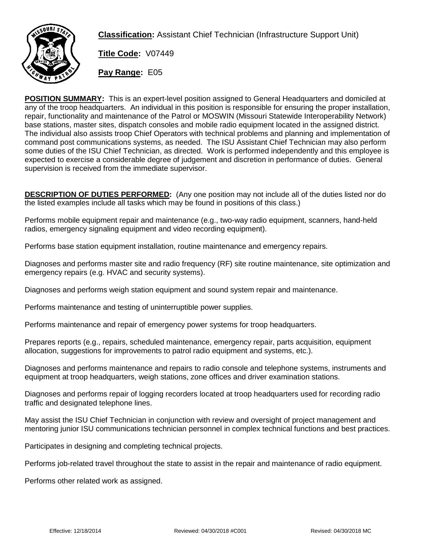

**Classification:** Assistant Chief Technician (Infrastructure Support Unit)

**Title Code:** V07449

**Pay Range:** E05

**POSITION SUMMARY:** This is an expert-level position assigned to General Headquarters and domiciled at any of the troop headquarters. An individual in this position is responsible for ensuring the proper installation, repair, functionality and maintenance of the Patrol or MOSWIN (Missouri Statewide Interoperability Network) base stations, master sites, dispatch consoles and mobile radio equipment located in the assigned district. The individual also assists troop Chief Operators with technical problems and planning and implementation of command post communications systems, as needed. The ISU Assistant Chief Technician may also perform some duties of the ISU Chief Technician, as directed. Work is performed independently and this employee is expected to exercise a considerable degree of judgement and discretion in performance of duties. General supervision is received from the immediate supervisor.

**DESCRIPTION OF DUTIES PERFORMED:** (Any one position may not include all of the duties listed nor do the listed examples include all tasks which may be found in positions of this class.)

Performs mobile equipment repair and maintenance (e.g., two-way radio equipment, scanners, hand-held radios, emergency signaling equipment and video recording equipment).

Performs base station equipment installation, routine maintenance and emergency repairs.

Diagnoses and performs master site and radio frequency (RF) site routine maintenance, site optimization and emergency repairs (e.g. HVAC and security systems).

Diagnoses and performs weigh station equipment and sound system repair and maintenance.

Performs maintenance and testing of uninterruptible power supplies.

Performs maintenance and repair of emergency power systems for troop headquarters.

Prepares reports (e.g., repairs, scheduled maintenance, emergency repair, parts acquisition, equipment allocation, suggestions for improvements to patrol radio equipment and systems, etc.).

Diagnoses and performs maintenance and repairs to radio console and telephone systems, instruments and equipment at troop headquarters, weigh stations, zone offices and driver examination stations.

Diagnoses and performs repair of logging recorders located at troop headquarters used for recording radio traffic and designated telephone lines.

May assist the ISU Chief Technician in conjunction with review and oversight of project management and mentoring junior ISU communications technician personnel in complex technical functions and best practices.

Participates in designing and completing technical projects.

Performs job-related travel throughout the state to assist in the repair and maintenance of radio equipment.

Performs other related work as assigned.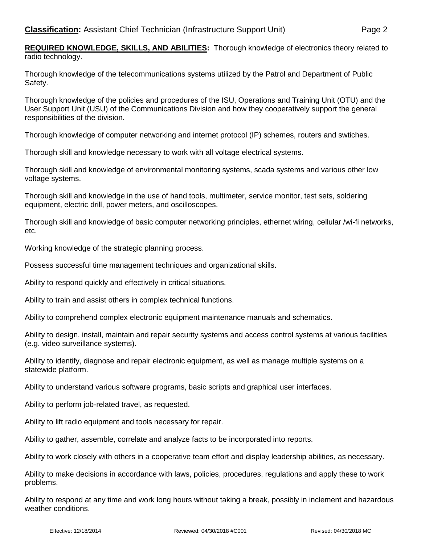**REQUIRED KNOWLEDGE, SKILLS, AND ABILITIES:** Thorough knowledge of electronics theory related to radio technology.

Thorough knowledge of the telecommunications systems utilized by the Patrol and Department of Public Safety.

Thorough knowledge of the policies and procedures of the ISU, Operations and Training Unit (OTU) and the User Support Unit (USU) of the Communications Division and how they cooperatively support the general responsibilities of the division.

Thorough knowledge of computer networking and internet protocol (IP) schemes, routers and swtiches.

Thorough skill and knowledge necessary to work with all voltage electrical systems.

Thorough skill and knowledge of environmental monitoring systems, scada systems and various other low voltage systems.

Thorough skill and knowledge in the use of hand tools, multimeter, service monitor, test sets, soldering equipment, electric drill, power meters, and oscilloscopes.

Thorough skill and knowledge of basic computer networking principles, ethernet wiring, cellular /wi-fi networks, etc.

Working knowledge of the strategic planning process.

Possess successful time management techniques and organizational skills.

Ability to respond quickly and effectively in critical situations.

Ability to train and assist others in complex technical functions.

Ability to comprehend complex electronic equipment maintenance manuals and schematics.

Ability to design, install, maintain and repair security systems and access control systems at various facilities (e.g. video surveillance systems).

Ability to identify, diagnose and repair electronic equipment, as well as manage multiple systems on a statewide platform.

Ability to understand various software programs, basic scripts and graphical user interfaces.

Ability to perform job-related travel, as requested.

Ability to lift radio equipment and tools necessary for repair.

Ability to gather, assemble, correlate and analyze facts to be incorporated into reports.

Ability to work closely with others in a cooperative team effort and display leadership abilities, as necessary.

Ability to make decisions in accordance with laws, policies, procedures, regulations and apply these to work problems.

Ability to respond at any time and work long hours without taking a break, possibly in inclement and hazardous weather conditions.